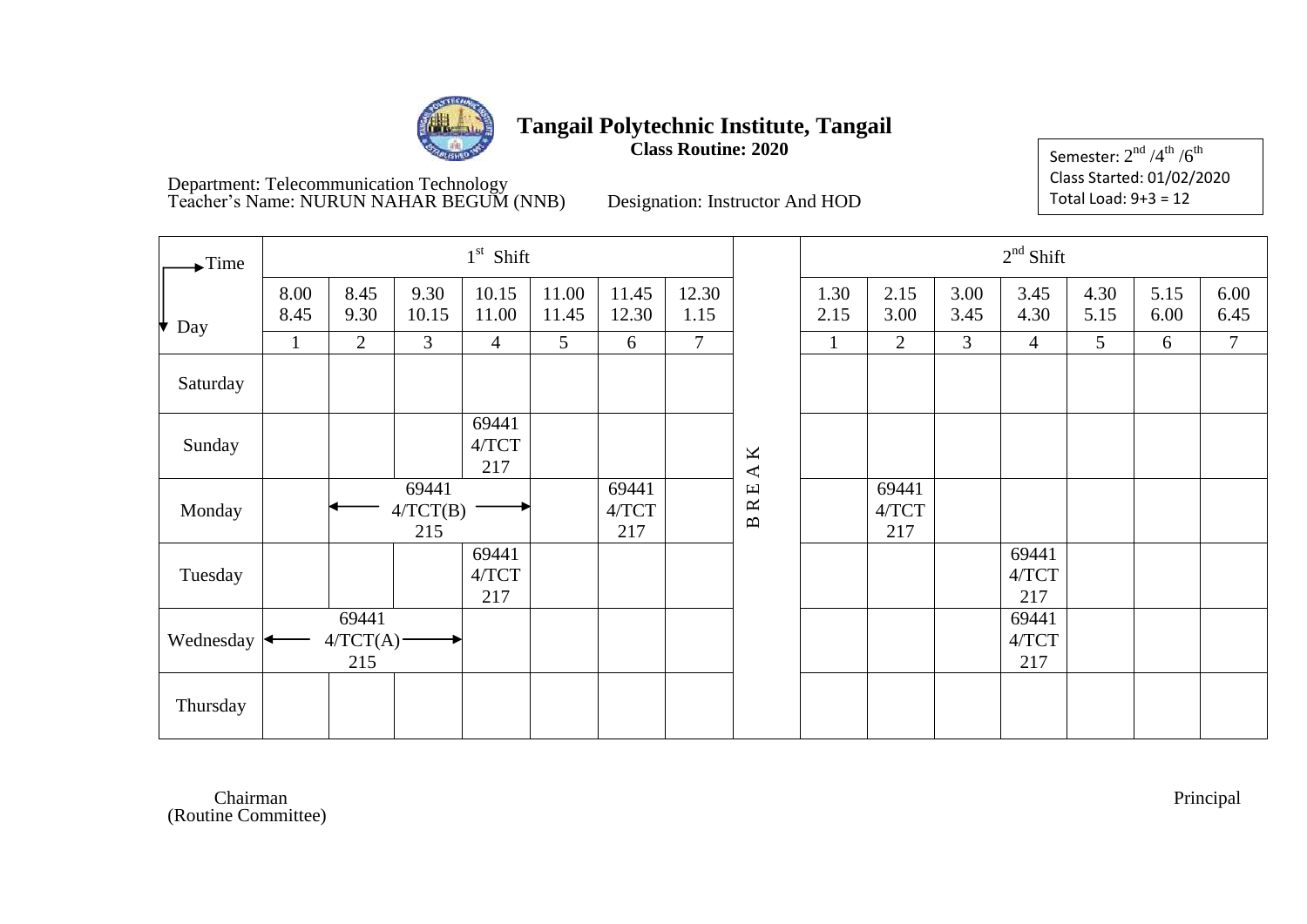

**Class Routine: 2020**

Semester:  $2^{\rm nd}$  /4 $^{\rm th}$  / $6^{\rm th}$ Class Started: 01/02/2020 Total Load: 9+3 = 12

Department: Telecommunication Technology Teacher's Name: NURUN NAHAR BEGUM (NNB) Designation: Instructor And HOD

| $\blacktriangleright$ Time |              |                          |                          | $1st$ Shift             |                |                       |                |               |              |                       |              | $2nd$ Shift           |              |              |              |
|----------------------------|--------------|--------------------------|--------------------------|-------------------------|----------------|-----------------------|----------------|---------------|--------------|-----------------------|--------------|-----------------------|--------------|--------------|--------------|
| Day                        | 8.00<br>8.45 | 8.45<br>9.30             | 9.30<br>10.15            | 10.15<br>11.00          | 11.00<br>11.45 | 11.45<br>12.30        | 12.30<br>1.15  |               | 1.30<br>2.15 | 2.15<br>3.00          | 3.00<br>3.45 | 3.45<br>4.30          | 4.30<br>5.15 | 5.15<br>6.00 | 6.00<br>6.45 |
|                            | $\mathbf{1}$ | $\overline{2}$           | 3                        | $\overline{4}$          | 5              | 6                     | $\overline{7}$ |               | $\mathbf{1}$ | $\overline{2}$        | 3            | $\overline{4}$        | 5            | 6            | $\tau$       |
| Saturday                   |              |                          |                          |                         |                |                       |                |               |              |                       |              |                       |              |              |              |
| Sunday                     |              |                          |                          | 69441<br>$4/TCT$<br>217 |                |                       |                | $\mathbf A$ K |              |                       |              |                       |              |              |              |
| Monday                     |              |                          | 69441<br>4/TCT(B)<br>215 |                         |                | 69441<br>4/TCT<br>217 |                | <b>BRE</b>    |              | 69441<br>4/TCT<br>217 |              |                       |              |              |              |
| Tuesday                    |              |                          |                          | 69441<br>4/TCT<br>217   |                |                       |                |               |              |                       |              | 69441<br>4/TCT<br>217 |              |              |              |
| Wednesday                  |              | 69441<br>4/TCT(A)<br>215 |                          |                         |                |                       |                |               |              |                       |              | 69441<br>4/TCT<br>217 |              |              |              |
| Thursday                   |              |                          |                          |                         |                |                       |                |               |              |                       |              |                       |              |              |              |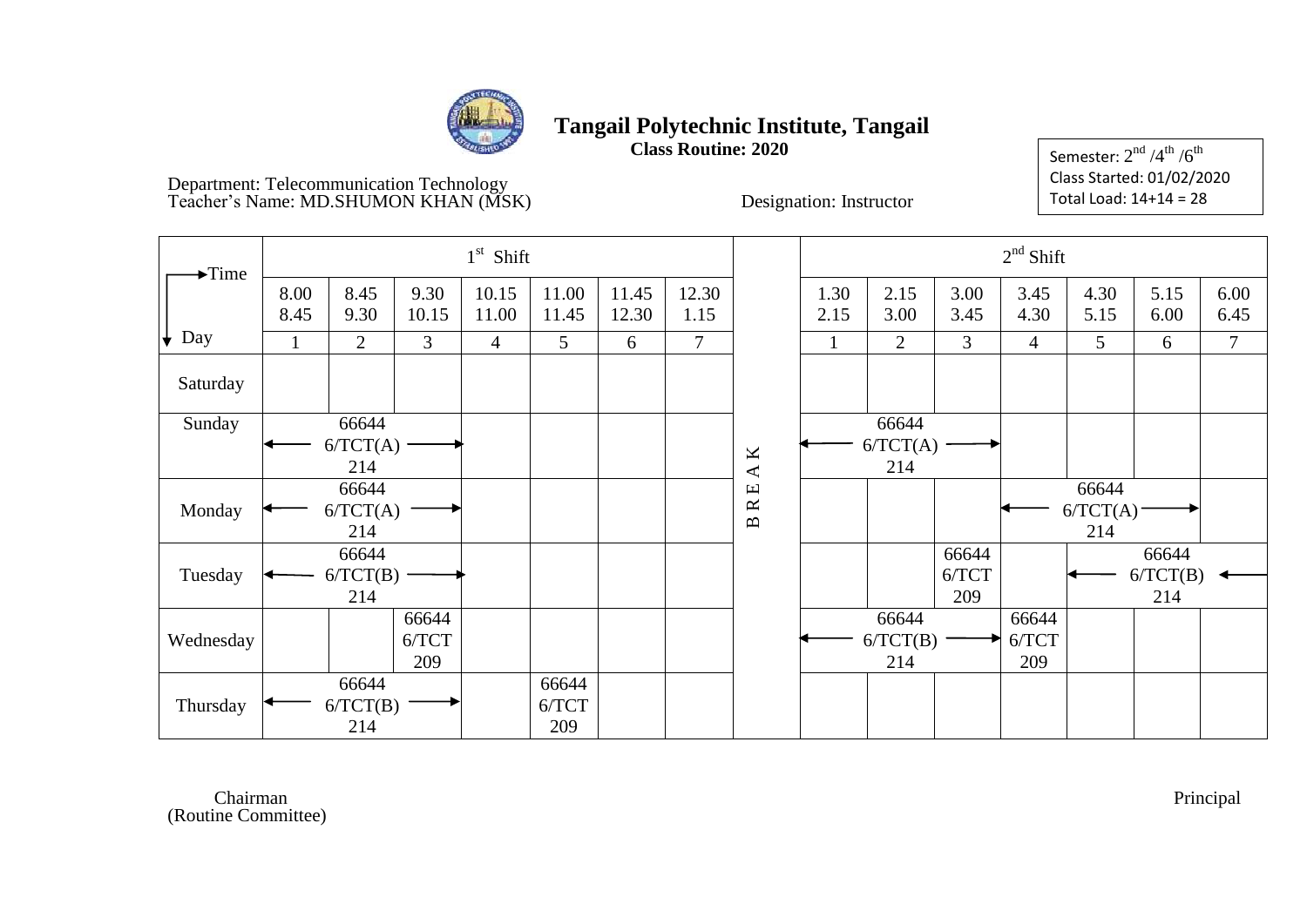

**Class Routine: 2020**

Semester:  $2^{\rm nd}$  /4 $^{\rm th}$  / $6^{\rm th}$ Class Started: 01/02/2020 Total Load: 14+14 = 28

#### Department: Telecommunication Technology Teacher's Name: MD.SHUMON KHAN (MSK) Designation: Instructor

| $\blacktriangleright$ Time |              |                          |                       | $1st$ Shift    |                       |                |                |                                    |              |                          |                       | $2nd$ Shift           |                          |                          |              |
|----------------------------|--------------|--------------------------|-----------------------|----------------|-----------------------|----------------|----------------|------------------------------------|--------------|--------------------------|-----------------------|-----------------------|--------------------------|--------------------------|--------------|
|                            | 8.00<br>8.45 | 8.45<br>9.30             | 9.30<br>10.15         | 10.15<br>11.00 | 11.00<br>11.45        | 11.45<br>12.30 | 12.30<br>1.15  |                                    | 1.30<br>2.15 | 2.15<br>3.00             | 3.00<br>3.45          | 3.45<br>4.30          | 4.30<br>5.15             | 5.15<br>6.00             | 6.00<br>6.45 |
| Day<br>$\downarrow$        | 1            | $\overline{2}$           | $\overline{3}$        | $\overline{4}$ | 5                     | 6              | $\overline{7}$ |                                    | 1            | $\overline{2}$           | 3                     | $\overline{4}$        | 5                        | 6                        | $\tau$       |
| Saturday                   |              |                          |                       |                |                       |                |                |                                    |              |                          |                       |                       |                          |                          |              |
| Sunday                     |              | 66644<br>6/TCT(A)<br>214 |                       |                |                       |                |                | $\mathbf A$ K                      |              | 66644<br>6/TCT(A)<br>214 |                       |                       |                          |                          |              |
| Monday                     |              | 66644<br>6/TCT(A)<br>214 |                       |                |                       |                |                | $\mathbb R$ E<br>$\mathbf{\Omega}$ |              |                          |                       |                       | 66644<br>6/TCT(A)<br>214 |                          |              |
| Tuesday                    |              | 66644<br>6/TCT(B)<br>214 |                       |                |                       |                |                |                                    |              |                          | 66644<br>6/TCT<br>209 |                       |                          | 66644<br>6/TCT(B)<br>214 |              |
| Wednesday                  |              |                          | 66644<br>6/TCT<br>209 |                |                       |                |                |                                    |              | 66644<br>6/TCT(B)<br>214 |                       | 66644<br>6/TCT<br>209 |                          |                          |              |
| Thursday                   |              | 66644<br>6/TCT(B)<br>214 |                       |                | 66644<br>6/TCT<br>209 |                |                |                                    |              |                          |                       |                       |                          |                          |              |

Chairman Chairman Principal (Routine Committee)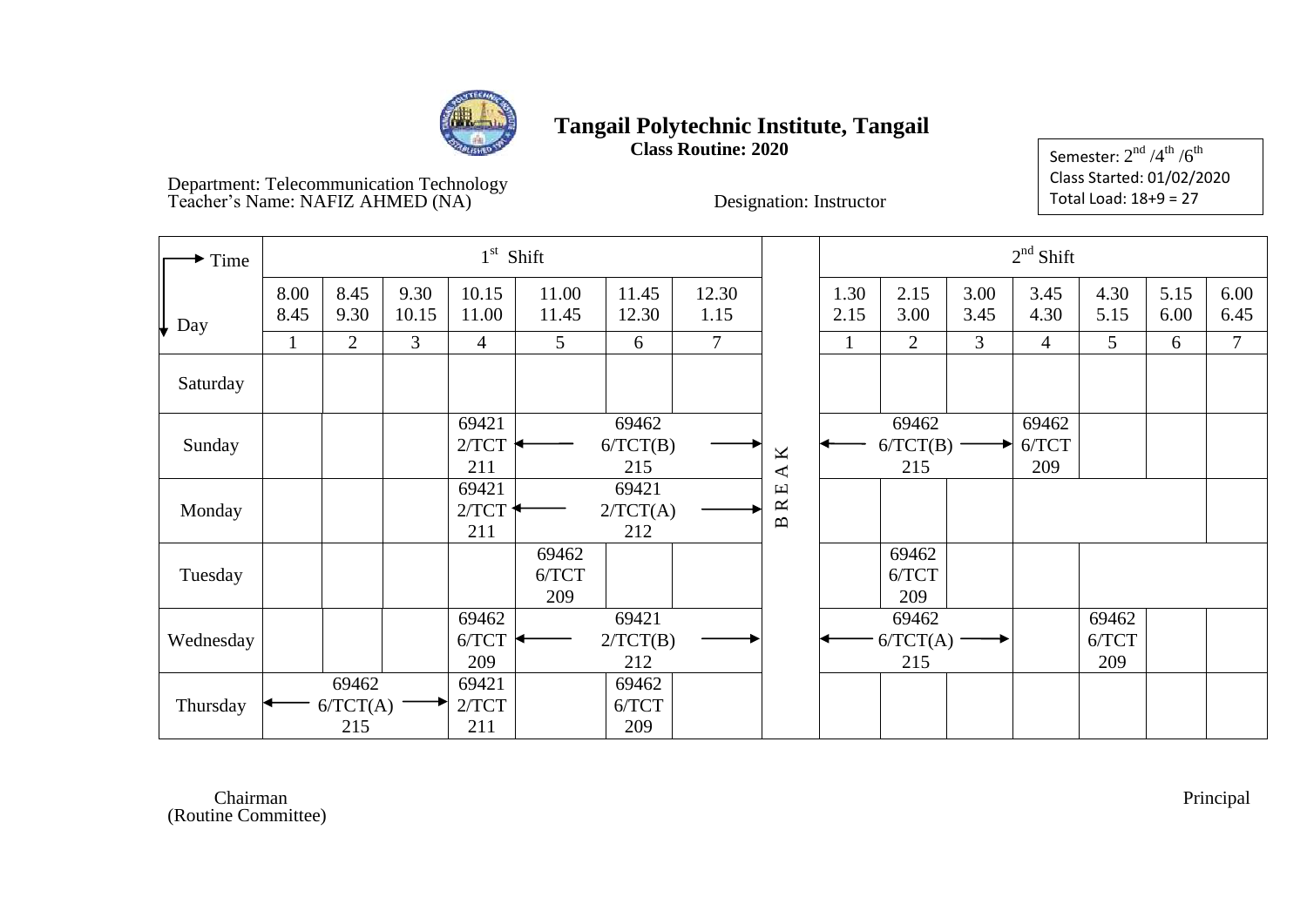

**Class Routine: 2020**

Semester:  $2^{\rm nd}$  /4 $^{\rm th}$  / $6^{\rm th}$ Class Started: 01/02/2020 Total Load: 18+9 = 27

Department: Telecommunication Technology Teacher's Name: NAFIZ AHMED (NA) The Designation: Instructor

| $\blacktriangleright$ Time |              |                          |               |                       | $1st$ Shift           |                          |                |                                                                |              |                          |              | $2nd$ Shift           |                       |              |                |
|----------------------------|--------------|--------------------------|---------------|-----------------------|-----------------------|--------------------------|----------------|----------------------------------------------------------------|--------------|--------------------------|--------------|-----------------------|-----------------------|--------------|----------------|
| $\downarrow$ Day           | 8.00<br>8.45 | 8.45<br>9.30             | 9.30<br>10.15 | 10.15<br>11.00        | 11.00<br>11.45        | 11.45<br>12.30           | 12.30<br>1.15  |                                                                | 1.30<br>2.15 | 2.15<br>3.00             | 3.00<br>3.45 | 3.45<br>4.30          | 4.30<br>5.15          | 5.15<br>6.00 | 6.00<br>6.45   |
|                            | 1            | $\overline{2}$           | 3             | 4                     | 5 <sup>5</sup>        | 6                        | $\overline{7}$ |                                                                | $\mathbf{1}$ | 2                        | 3            | $\overline{4}$        | 5                     | 6            | $\overline{7}$ |
| Saturday                   |              |                          |               |                       |                       |                          |                |                                                                |              |                          |              |                       |                       |              |                |
| Sunday                     |              |                          |               | 69421<br>2/TCT<br>211 |                       | 69462<br>6/TCT(B)<br>215 |                | K                                                              |              | 69462<br>6/TCT(B)<br>215 |              | 69462<br>6/TCT<br>209 |                       |              |                |
| Monday                     |              |                          |               | 69421<br>2/TCT<br>211 |                       | 69421<br>2/TCT(A)<br>212 |                | $\blacktriangle$<br>$\mathbf \Xi$<br>$\approx$<br>$\mathbf{B}$ |              |                          |              |                       |                       |              |                |
| Tuesday                    |              |                          |               |                       | 69462<br>6/TCT<br>209 |                          |                |                                                                |              | 69462<br>6/TCT<br>209    |              |                       |                       |              |                |
| Wednesday                  |              |                          |               | 69462<br>6/TCT<br>209 |                       | 69421<br>2/TCT(B)<br>212 |                |                                                                |              | 69462<br>6/TCT(A)<br>215 |              |                       | 69462<br>6/TCT<br>209 |              |                |
| Thursday                   |              | 69462<br>6/TCT(A)<br>215 |               | 69421<br>2/TCT<br>211 |                       | 69462<br>6/TCT<br>209    |                |                                                                |              |                          |              |                       |                       |              |                |

Chairman Chairman Principal (Routine Committee)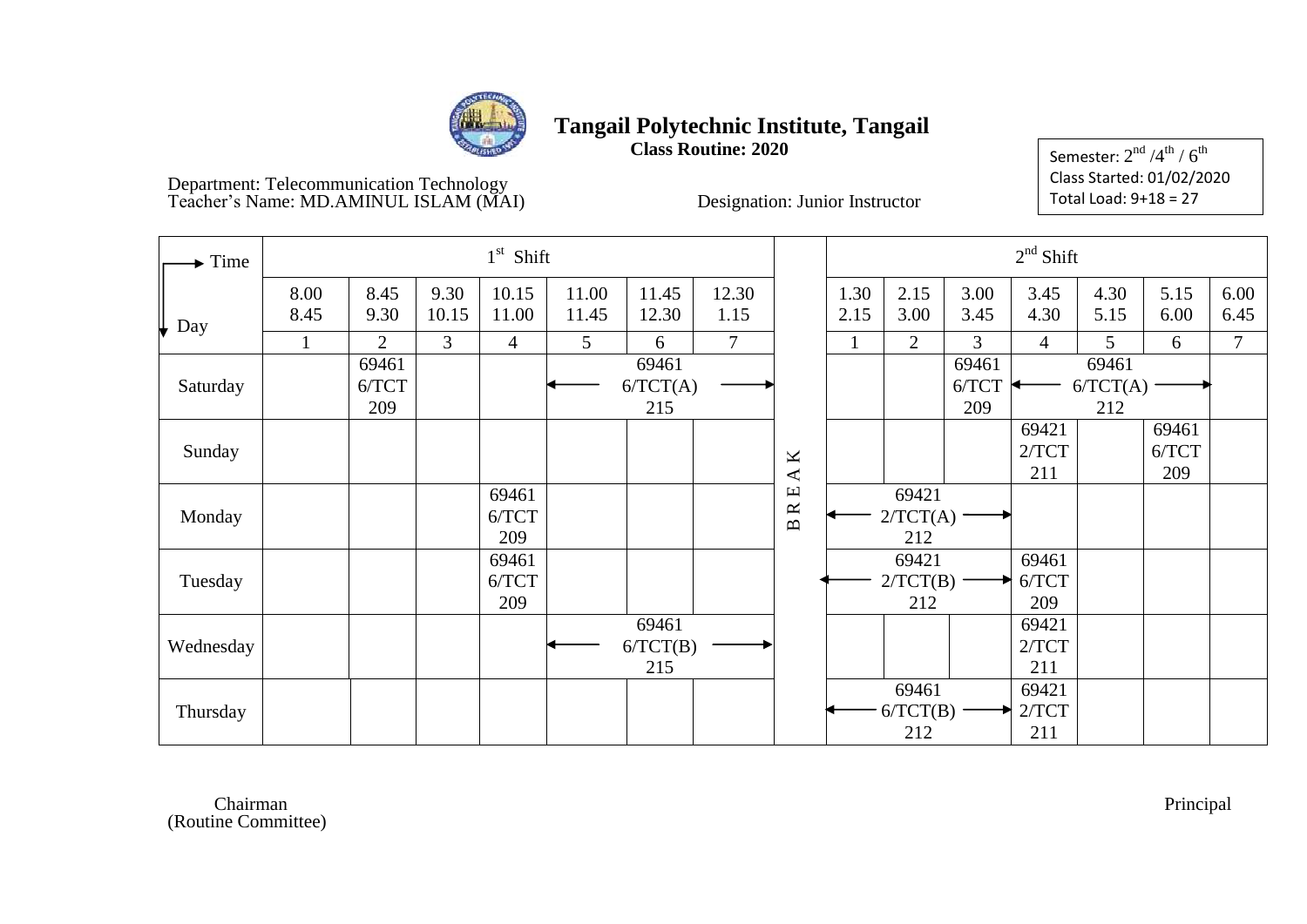

**Class Routine: 2020**

Semester:  $2^{\rm nd}$  /4 $^{\rm th}$  /  $6^{\rm th}$ Class Started: 01/02/2020 Total Load: 9+18 = 27

#### Department: Telecommunication Technology Teacher's Name: MD.AMINUL ISLAM (MAI) Designation: Junior Instructor

| $\blacktriangleright$ Time |              |                       |                | $1st$ Shift           |                |                          |                |                                                  |              |                              |                       | $2nd$ Shift           |                          |                       |              |
|----------------------------|--------------|-----------------------|----------------|-----------------------|----------------|--------------------------|----------------|--------------------------------------------------|--------------|------------------------------|-----------------------|-----------------------|--------------------------|-----------------------|--------------|
| $\downarrow$ Day           | 8.00<br>8.45 | 8.45<br>9.30          | 9.30<br>10.15  | 10.15<br>11.00        | 11.00<br>11.45 | 11.45<br>12.30           | 12.30<br>1.15  |                                                  | 1.30<br>2.15 | 2.15<br>3.00                 | 3.00<br>3.45          | 3.45<br>4.30          | 4.30<br>5.15             | 5.15<br>6.00          | 6.00<br>6.45 |
|                            | $\mathbf{1}$ | $\overline{2}$        | $\mathfrak{Z}$ | $\overline{4}$        | 5              | 6                        | $\overline{7}$ |                                                  |              | 2                            | 3                     | $\overline{4}$        | 5                        | 6                     | $\tau$       |
| Saturday                   |              | 69461<br>6/TCT<br>209 |                |                       |                | 69461<br>6/TCT(A)<br>215 |                |                                                  |              |                              | 69461<br>6/TCT<br>209 |                       | 69461<br>6/TCT(A)<br>212 |                       |              |
| Sunday                     |              |                       |                |                       |                |                          |                | $\mathbf{\underline{M}}$<br>$\blacktriangleleft$ |              |                              |                       | 69421<br>2/TCT<br>211 |                          | 69461<br>6/TCT<br>209 |              |
| Monday                     |              |                       |                | 69461<br>6/TCT<br>209 |                |                          |                | Щ<br>$\approx$<br>$\mathbf{p}$                   |              | 69421<br>$2/TCT(A)$ -<br>212 |                       |                       |                          |                       |              |
| Tuesday                    |              |                       |                | 69461<br>6/TCT<br>209 |                |                          |                |                                                  |              | 69421<br>2/TCT(B)<br>212     |                       | 69461<br>6/TCT<br>209 |                          |                       |              |
| Wednesday                  |              |                       |                |                       |                | 69461<br>6/TCT(B)<br>215 |                |                                                  |              |                              |                       | 69421<br>2/TCT<br>211 |                          |                       |              |
| Thursday                   |              |                       |                |                       |                |                          |                |                                                  |              | 69461<br>6/TCT(B)<br>212     |                       | 69421<br>2/TCT<br>211 |                          |                       |              |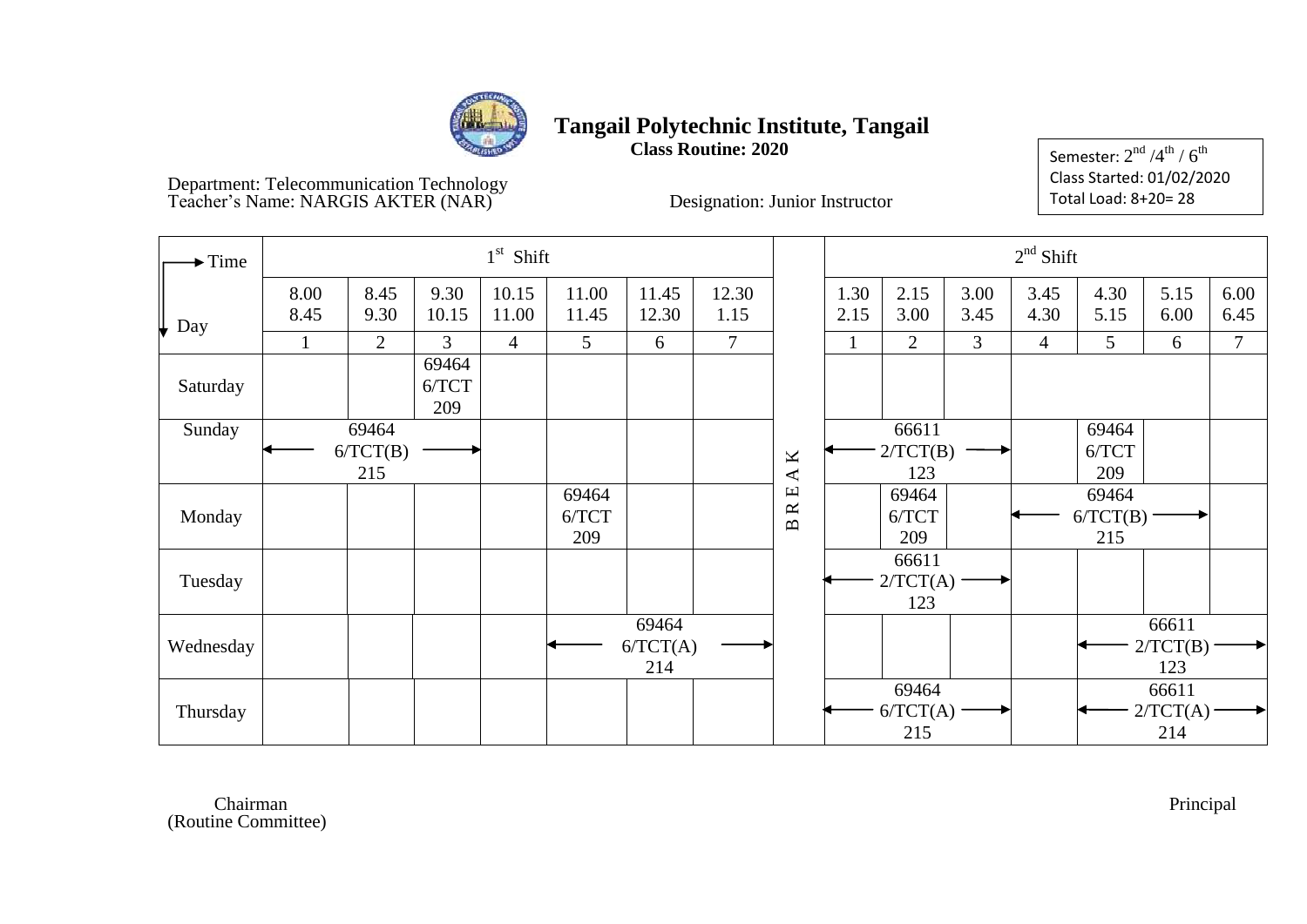

**Class Routine: 2020**

Semester:  $2^{\rm nd}$  /4 $^{\rm th}$  /  $6^{\rm th}$ Class Started: 01/02/2020 Total Load: 8+20= 28

Department: Telecommunication Technology Teacher's Name: NARGIS AKTER (NAR)<sup>\*</sup> Designation: Junior Instructor

| $\blacktriangleright$ Time |              |                 |                       | $1st$ Shift    |                |                   |               |                                                  |              |                       |                | $2nd$ Shift    |                     |                   |              |
|----------------------------|--------------|-----------------|-----------------------|----------------|----------------|-------------------|---------------|--------------------------------------------------|--------------|-----------------------|----------------|----------------|---------------------|-------------------|--------------|
| Day                        | 8.00<br>8.45 | 8.45<br>9.30    | 9.30<br>10.15         | 10.15<br>11.00 | 11.00<br>11.45 | 11.45<br>12.30    | 12.30<br>1.15 |                                                  | 1.30<br>2.15 | 2.15<br>3.00          | 3.00<br>3.45   | 3.45<br>4.30   | 4.30<br>5.15        | 5.15<br>6.00      | 6.00<br>6.45 |
|                            | 1            | $\overline{2}$  | $\mathfrak{Z}$        | $\overline{4}$ | 5              | 6                 | $\tau$        |                                                  |              | 2                     | $\overline{3}$ | $\overline{4}$ | 5                   | 6                 | $\tau$       |
| Saturday                   |              |                 | 69464<br>6/TCT<br>209 |                |                |                   |               |                                                  |              |                       |                |                |                     |                   |              |
| Sunday                     |              | 69464           |                       |                |                |                   |               |                                                  |              | 66611                 |                |                | 69464               |                   |              |
|                            |              | 6/TCT(B)<br>215 |                       |                |                |                   |               | $\mathbf{\underline{K}}$<br>$\blacktriangleleft$ |              | 2/TCT(B)<br>123       |                |                | 6/TCT<br>209        |                   |              |
|                            |              |                 |                       |                | 69464          |                   |               | $\mathbf \Xi$<br>$\approx$                       |              | 69464                 |                |                | 69464               |                   |              |
| Monday                     |              |                 |                       |                | 6/TCT<br>209   |                   |               | $\mathbf{m}$                                     |              | 6/TCT<br>209          |                |                | $6/TCT(B)$ .<br>215 |                   |              |
|                            |              |                 |                       |                |                |                   |               |                                                  |              | 66611                 |                |                |                     |                   |              |
| Tuesday                    |              |                 |                       |                |                |                   |               |                                                  |              | 2/TCT(A)              |                |                |                     |                   |              |
|                            |              |                 |                       |                |                |                   |               |                                                  |              | 123                   |                |                |                     |                   |              |
| Wednesday                  |              |                 |                       |                |                | 69464<br>6/TCT(A) |               |                                                  |              |                       |                |                |                     | 66611<br>2/TCT(B) |              |
|                            |              |                 |                       |                |                | 214               |               |                                                  |              |                       |                |                |                     | 123               |              |
| Thursday                   |              |                 |                       |                |                |                   |               |                                                  |              | 69464<br>$6/TCT(A)$ . |                |                |                     | 66611<br>2/TCT(A) |              |
|                            |              |                 |                       |                |                |                   |               |                                                  |              | 215                   |                |                |                     | 214               |              |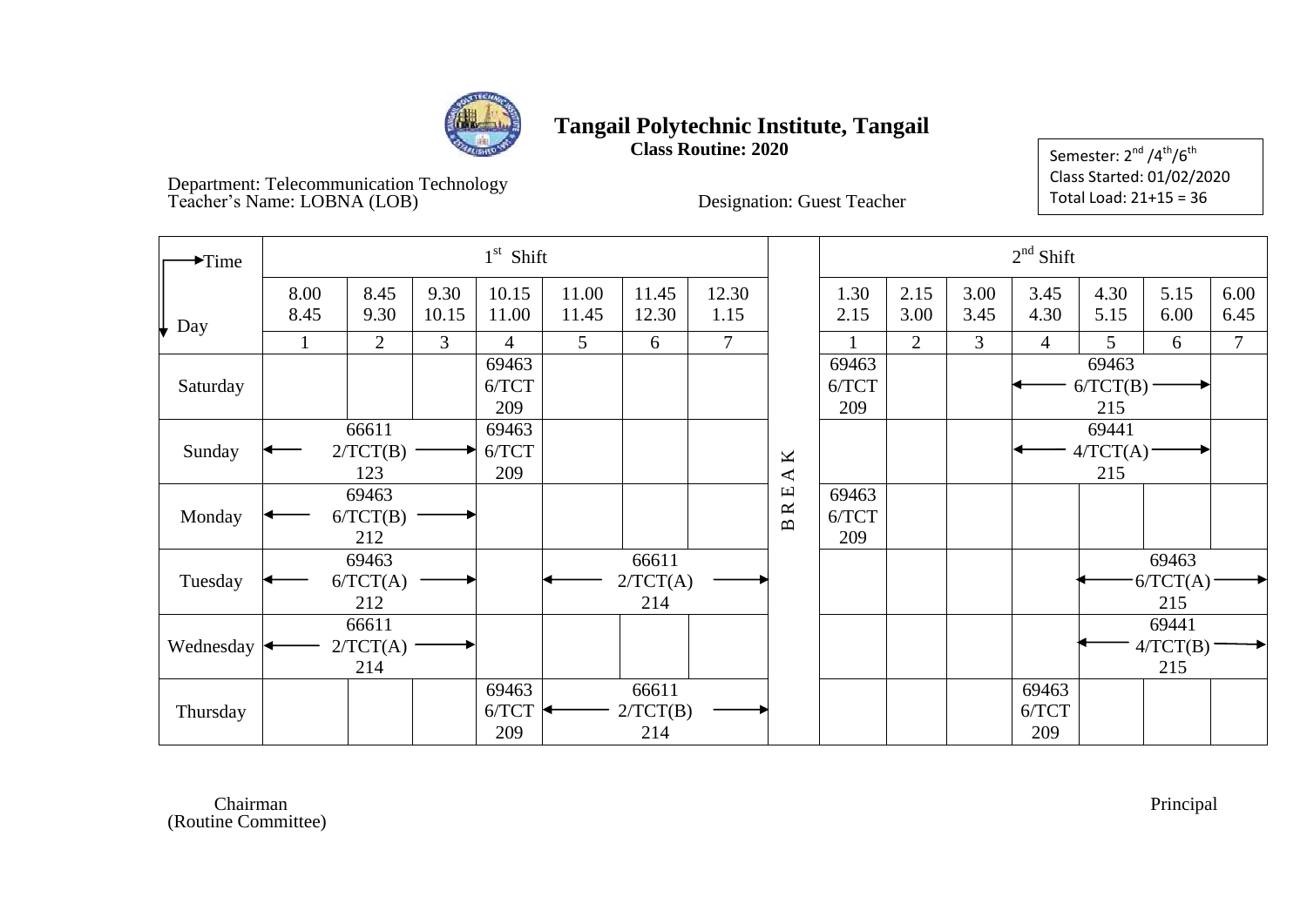

**Class Routine: 2020**

Semester:  $2<sup>nd</sup>/4<sup>th</sup>/6<sup>th</sup>$ Class Started: 01/02/2020 Total Load: 21+15 = 36

Department: Telecommunication Technology Teacher's Name: LOBNA (LOB) Designation: Guest Teacher

| $\blacktriangleright$ Time |              |                          |               | $1st$ Shift           |                |                          |               |                                                                     |                       |                |              | $2nd$ Shift           |                          |                          |              |
|----------------------------|--------------|--------------------------|---------------|-----------------------|----------------|--------------------------|---------------|---------------------------------------------------------------------|-----------------------|----------------|--------------|-----------------------|--------------------------|--------------------------|--------------|
| $\downarrow$ Day           | 8.00<br>8.45 | 8.45<br>9.30             | 9.30<br>10.15 | 10.15<br>11.00        | 11.00<br>11.45 | 11.45<br>12.30           | 12.30<br>1.15 |                                                                     | 1.30<br>2.15          | 2.15<br>3.00   | 3.00<br>3.45 | 3.45<br>4.30          | 4.30<br>5.15             | 5.15<br>6.00             | 6.00<br>6.45 |
|                            |              | $\overline{2}$           | 3             | 4                     | 5 <sup>5</sup> | 6                        | 7             |                                                                     |                       | $\overline{2}$ | 3            | $\overline{4}$        | 5                        | 6                        | $\tau$       |
| Saturday                   |              |                          |               | 69463<br>6/TCT<br>209 |                |                          |               |                                                                     | 69463<br>6/TCT<br>209 |                |              |                       | 69463<br>6/TCT(B)<br>215 |                          |              |
| Sunday                     |              | 66611<br>2/TCT(B)<br>123 |               | 69463<br>6/TCT<br>209 |                |                          |               | K<br>$\blacktriangleleft$                                           |                       |                |              |                       | 69441<br>4/TCT(A)<br>215 |                          |              |
| Monday                     |              | 69463<br>6/TCT(B)<br>212 |               |                       |                |                          |               | $\mathbf \Xi$<br>$\boldsymbol{\underline{\propto}}$<br>$\mathbf{m}$ | 69463<br>6/TCT<br>209 |                |              |                       |                          |                          |              |
| Tuesday                    |              | 69463<br>6/TCT(A)<br>212 |               |                       |                | 66611<br>2/TCT(A)<br>214 |               |                                                                     |                       |                |              |                       |                          | 69463<br>6/TCT(A)<br>215 |              |
| Wednesday                  |              | 66611<br>2/TCT(A)<br>214 |               |                       |                |                          |               |                                                                     |                       |                |              |                       |                          | 69441<br>4/TCT(B)<br>215 |              |
| Thursday                   |              |                          |               | 69463<br>6/TCT<br>209 |                | 66611<br>2/TCT(B)<br>214 |               |                                                                     |                       |                |              | 69463<br>6/TCT<br>209 |                          |                          |              |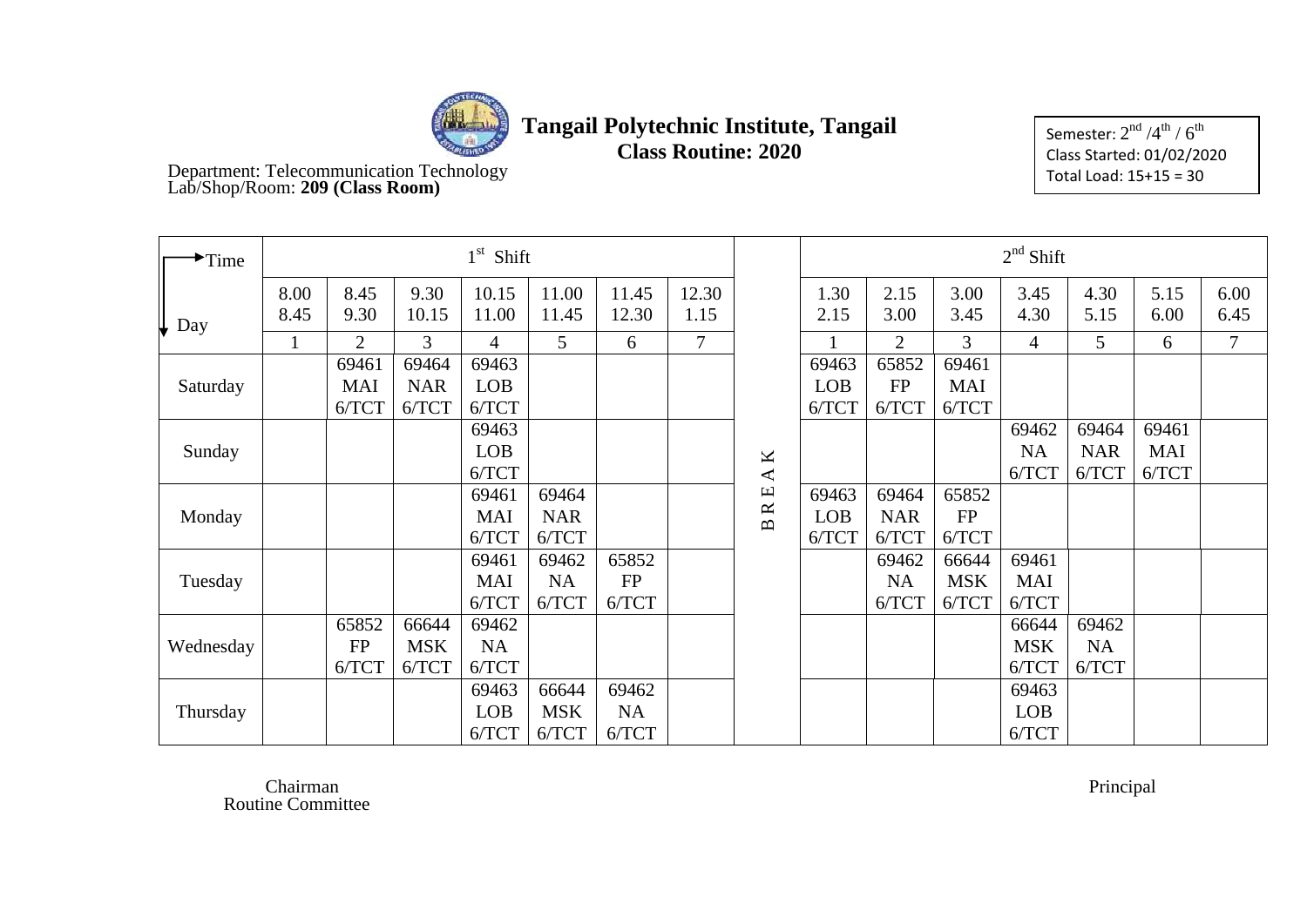

**Class Routine: 2020**

Semester:  $2^{\rm nd}$  /4 $^{\rm th}$  /  $6^{\rm th}$ Class Started: 01/02/2020 Total Load: 15+15 = 30

Department: Telecommunication Technology Lab/Shop/Room: **209 (Class Room)**

| $\rightarrow$ Time |              |                |                | $1st$ Shift    |                |                |                |                            |              |                |              | $2nd$ Shift    |              |              |              |
|--------------------|--------------|----------------|----------------|----------------|----------------|----------------|----------------|----------------------------|--------------|----------------|--------------|----------------|--------------|--------------|--------------|
| Day                | 8.00<br>8.45 | 8.45<br>9.30   | 9.30<br>10.15  | 10.15<br>11.00 | 11.00<br>11.45 | 11.45<br>12.30 | 12.30<br>1.15  |                            | 1.30<br>2.15 | 2.15<br>3.00   | 3.00<br>3.45 | 3.45<br>4.30   | 4.30<br>5.15 | 5.15<br>6.00 | 6.00<br>6.45 |
|                    | $\mathbf{1}$ | $\overline{2}$ | $\overline{3}$ | $\overline{4}$ | 5              | 6              | $\overline{7}$ |                            |              | $\overline{2}$ | 3            | $\overline{4}$ | 5            | 6            | 7            |
|                    |              | 69461          | 69464          | 69463          |                |                |                |                            | 69463        | 65852          | 69461        |                |              |              |              |
| Saturday           |              | <b>MAI</b>     | <b>NAR</b>     | <b>LOB</b>     |                |                |                |                            | <b>LOB</b>   | <b>FP</b>      | <b>MAI</b>   |                |              |              |              |
|                    |              | 6/TCT          | 6/TCT          | 6/TCT          |                |                |                |                            | 6/TCT        | 6/TCT          | 6/TCT        |                |              |              |              |
|                    |              |                |                | 69463          |                |                |                |                            |              |                |              | 69462          | 69464        | 69461        |              |
| Sunday             |              |                |                | <b>LOB</b>     |                |                |                | K                          |              |                |              | <b>NA</b>      | <b>NAR</b>   | MAI          |              |
|                    |              |                |                | 6/TCT          |                |                |                | $\blacktriangleleft$       |              |                |              | 6/TCT          | 6/TCT        | 6/TCT        |              |
|                    |              |                |                | 69461          | 69464          |                |                | $\mathbf \mu$<br>$\approx$ | 69463        | 69464          | 65852        |                |              |              |              |
| Monday             |              |                |                | <b>MAI</b>     | <b>NAR</b>     |                |                | $\mathbf{D}$               | <b>LOB</b>   | <b>NAR</b>     | <b>FP</b>    |                |              |              |              |
|                    |              |                |                | 6/TCT          | 6/TCT          |                |                |                            | 6/TCT        | 6/TCT          | 6/TCT        |                |              |              |              |
|                    |              |                |                | 69461          | 69462          | 65852          |                |                            |              | 69462          | 66644        | 69461          |              |              |              |
| Tuesday            |              |                |                | <b>MAI</b>     | <b>NA</b>      | <b>FP</b>      |                |                            |              | <b>NA</b>      | <b>MSK</b>   | <b>MAI</b>     |              |              |              |
|                    |              |                |                | 6/TCT          | 6/TCT          | 6/TCT          |                |                            |              | 6/TCT          | 6/TCT        | 6/TCT          |              |              |              |
|                    |              | 65852          | 66644          | 69462          |                |                |                |                            |              |                |              | 66644          | 69462        |              |              |
| Wednesday          |              | <b>FP</b>      | <b>MSK</b>     | NA             |                |                |                |                            |              |                |              | <b>MSK</b>     | NA           |              |              |
|                    |              | 6/TCT          | 6/TCT          | 6/TCT          |                |                |                |                            |              |                |              | 6/TCT          | 6/TCT        |              |              |
|                    |              |                |                | 69463          | 66644          | 69462          |                |                            |              |                |              | 69463          |              |              |              |
| Thursday           |              |                |                | <b>LOB</b>     | <b>MSK</b>     | NA             |                |                            |              |                |              | <b>LOB</b>     |              |              |              |
|                    |              |                |                | 6/TCT          | 6/TCT          | 6/TCT          |                |                            |              |                |              | 6/TCT          |              |              |              |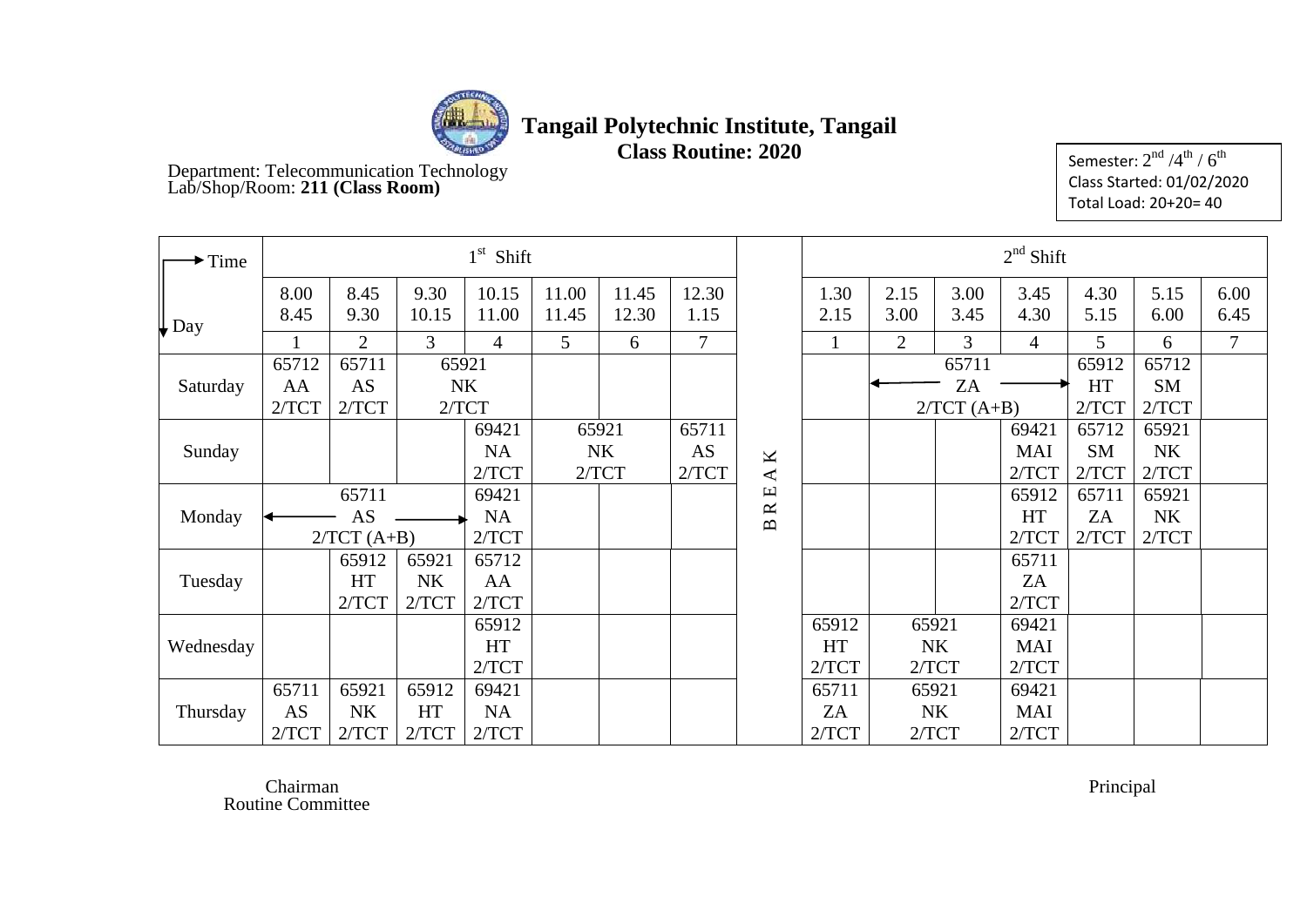

**Class Routine: 2020**

Department: Telecommunication Technology Lab/Shop/Room: **211 (Class Room)**

Semester:  $2^{\rm nd}$  /4 $^{\rm th}$  /  $6^{\rm th}$ Class Started: 01/02/2020 Total Load: 20+20= 40

| $\blacktriangleright$ Time |              |                |               | $1st$ Shift    |                |                |                |                                               |              |                |              | $2nd$ Shift    |              |              |                |
|----------------------------|--------------|----------------|---------------|----------------|----------------|----------------|----------------|-----------------------------------------------|--------------|----------------|--------------|----------------|--------------|--------------|----------------|
| $\downarrow$ Day           | 8.00<br>8.45 | 8.45<br>9.30   | 9.30<br>10.15 | 10.15<br>11.00 | 11.00<br>11.45 | 11.45<br>12.30 | 12.30<br>1.15  |                                               | 1.30<br>2.15 | 2.15<br>3.00   | 3.00<br>3.45 | 3.45<br>4.30   | 4.30<br>5.15 | 5.15<br>6.00 | 6.00<br>6.45   |
|                            |              | $\overline{2}$ | 3             | 4              | 5              | 6              | $\overline{7}$ |                                               |              | $\overline{2}$ | 3            | $\overline{4}$ | 5            | 6            | $\overline{7}$ |
|                            | 65712        | 65711          |               | 65921          |                |                |                |                                               |              |                | 65711        |                | 65912        | 65712        |                |
| Saturday                   | AA           | <b>AS</b>      |               | <b>NK</b>      |                |                |                |                                               |              |                | ZA           |                | HT           | <b>SM</b>    |                |
|                            | 2/TCT        | 2/TCT          |               | 2/TCT          |                |                |                |                                               |              |                | $2/TCT(A+B)$ |                | 2/TCT        | 2/TCT        |                |
|                            |              |                |               | 69421          |                | 65921          | 65711          |                                               |              |                |              | 69421          | 65712        | 65921        |                |
| Sunday                     |              |                |               | <b>NA</b>      |                | <b>NK</b>      | AS             | K                                             |              |                |              | <b>MAI</b>     | <b>SM</b>    | <b>NK</b>    |                |
|                            |              |                |               | 2/TCT          |                | 2/TCT          | 2/TCT          | $\blacktriangleleft$                          |              |                |              | 2/TCT          | 2/TCT        | 2/TCT        |                |
|                            |              | 65711          |               | 69421          |                |                |                | $\boxed{\underline{\mathbf{L}}}$<br>$\approx$ |              |                |              | 65912          | 65711        | 65921        |                |
| Monday                     |              | AS             |               | <b>NA</b>      |                |                |                | $\mathbf{\underline{\underline{\alpha}}}$     |              |                |              | HT             | ZA           | <b>NK</b>    |                |
|                            |              | $2/TCT(A+B)$   |               | 2/TCT          |                |                |                |                                               |              |                |              | 2/TCT          | 2/TCT        | 2/TCT        |                |
|                            |              | 65912          | 65921         | 65712          |                |                |                |                                               |              |                |              | 65711          |              |              |                |
| Tuesday                    |              | <b>HT</b>      | <b>NK</b>     | AA             |                |                |                |                                               |              |                |              | ZA             |              |              |                |
|                            |              | 2/TCT          | 2/TCT         | 2/TCT          |                |                |                |                                               |              |                |              | 2/TCT          |              |              |                |
|                            |              |                |               | 65912          |                |                |                |                                               | 65912        |                | 65921        | 69421          |              |              |                |
| Wednesday                  |              |                |               | <b>HT</b>      |                |                |                |                                               | <b>HT</b>    |                | <b>NK</b>    | MAI            |              |              |                |
|                            |              |                |               | 2/TCT          |                |                |                |                                               | 2/TCT        |                | 2/TCT        | 2/TCT          |              |              |                |
|                            | 65711        | 65921          | 65912         | 69421          |                |                |                |                                               | 65711        |                | 65921        | 69421          |              |              |                |
| Thursday                   | AS           | <b>NK</b>      | HT            | <b>NA</b>      |                |                |                |                                               | ZA           |                | <b>NK</b>    | MAI            |              |              |                |
|                            | 2/TCT        | 2/TCT          | 2/TCT         | 2/TCT          |                |                |                |                                               | 2/TCT        |                | 2/TCT        | 2/TCT          |              |              |                |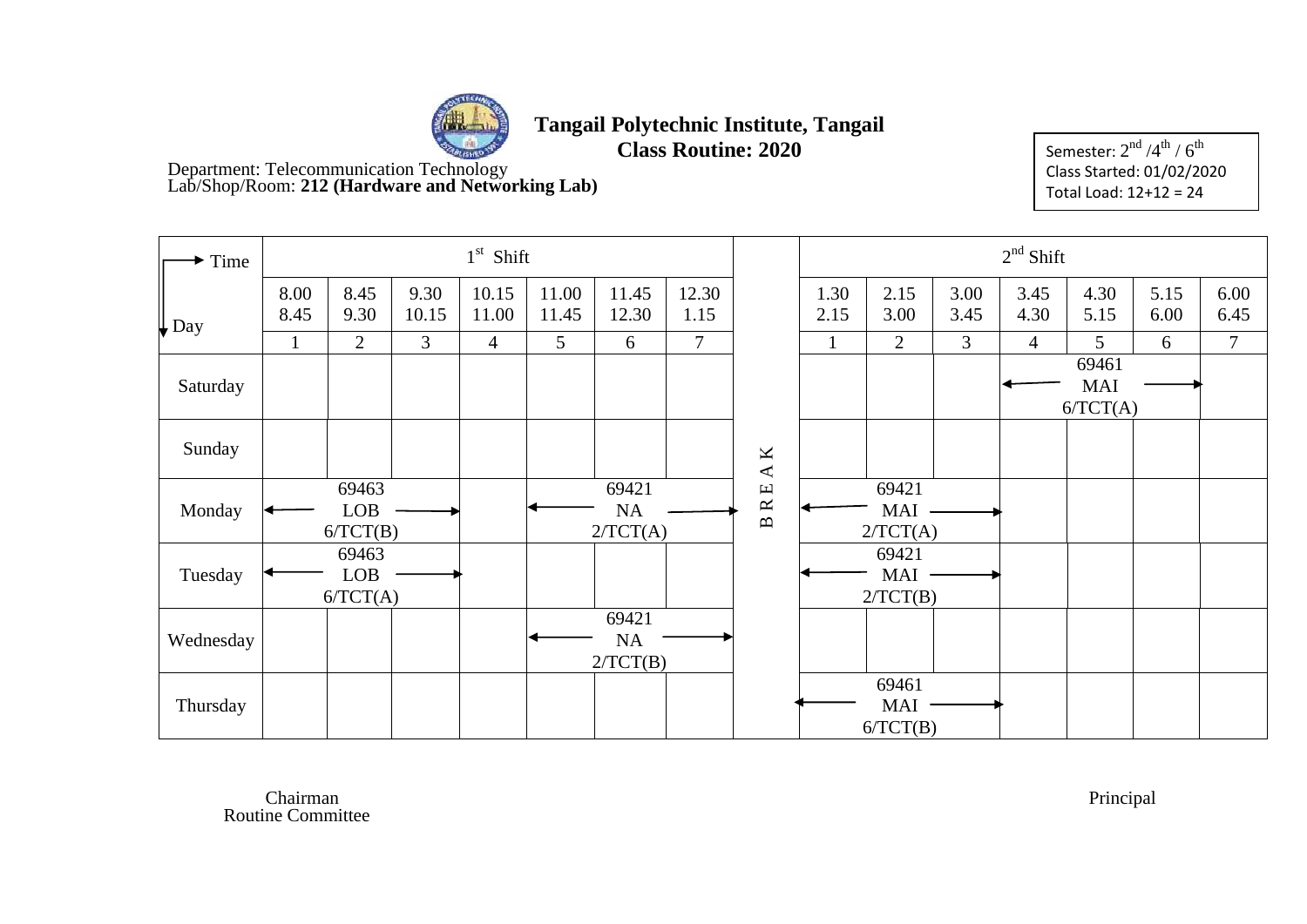

**Class Routine: 2020**

Department: Telecommunication Technology Lab/Shop/Room: **212 (Hardware and Networking Lab)**

Semester:  $2^{\rm nd}$  /4 $^{\rm th}$  /  $6^{\rm th}$ Class Started: 01/02/2020 Total Load: 12+12 = 24

| Time             |              |                                 |               | $1st$ Shift    |                |                                |                |                                                              |              |                                 |              | $2nd$ Shift    |                                 |              |                |
|------------------|--------------|---------------------------------|---------------|----------------|----------------|--------------------------------|----------------|--------------------------------------------------------------|--------------|---------------------------------|--------------|----------------|---------------------------------|--------------|----------------|
| $\downarrow$ Day | 8.00<br>8.45 | 8.45<br>9.30                    | 9.30<br>10.15 | 10.15<br>11.00 | 11.00<br>11.45 | 11.45<br>12.30                 | 12.30<br>1.15  |                                                              | 1.30<br>2.15 | 2.15<br>3.00                    | 3.00<br>3.45 | 3.45<br>4.30   | 4.30<br>5.15                    | 5.15<br>6.00 | 6.00<br>6.45   |
|                  | $\mathbf{1}$ | $\overline{2}$                  | 3             | $\overline{4}$ | 5              | 6                              | $\overline{7}$ |                                                              | 1            | $\overline{2}$                  | 3            | $\overline{4}$ | 5                               | 6            | $\overline{7}$ |
| Saturday         |              |                                 |               |                |                |                                |                |                                                              |              |                                 |              |                | 69461<br><b>MAI</b><br>6/TCT(A) |              |                |
| Sunday           |              |                                 |               |                |                |                                |                | K<br>$\blacktriangleleft$                                    |              |                                 |              |                |                                 |              |                |
| Monday           |              | 69463<br><b>LOB</b><br>6/TCT(B) |               |                |                | 69421<br><b>NA</b><br>2/TCT(A) |                | $\mathbf \Xi$<br>$\approx$<br>$\mathbf{\underline{\square}}$ |              | 69421<br>MAI<br>2/TCT(A)        |              |                |                                 |              |                |
| Tuesday          |              | 69463<br><b>LOB</b><br>6/TCT(A) |               |                |                |                                |                |                                                              |              | 69421<br><b>MAI</b><br>2/TCT(B) |              |                |                                 |              |                |
| Wednesday        |              |                                 |               |                |                | 69421<br>NA<br>2/TCT(B)        |                |                                                              |              |                                 |              |                |                                 |              |                |
| Thursday         |              |                                 |               |                |                |                                |                |                                                              |              | 69461<br>MAI<br>6/TCT(B)        |              |                |                                 |              |                |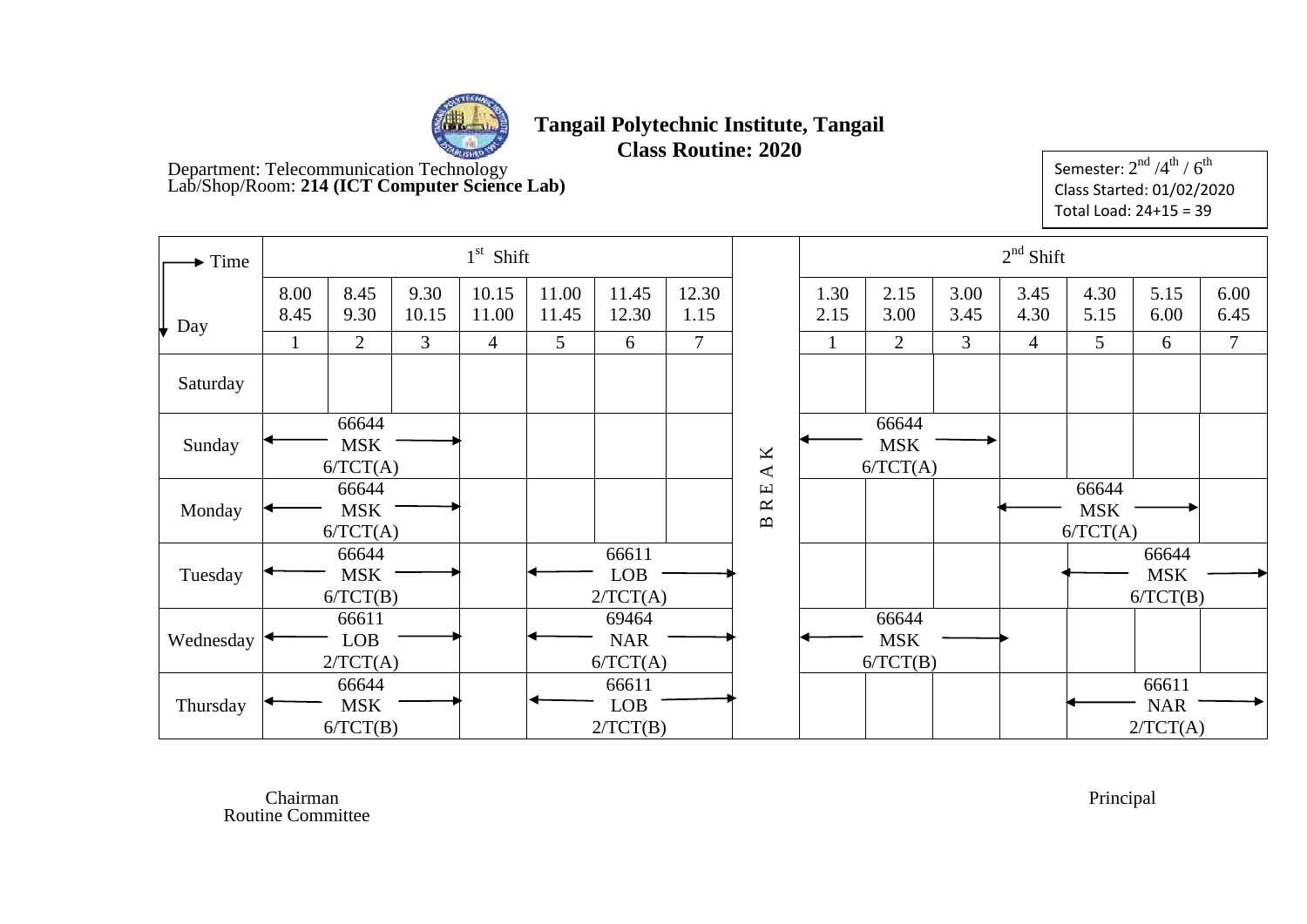

**Class Routine: 2020**

Department: Telecommunication Technology Lab/Shop/Room: **214 (ICT Computer Science Lab)**

Semester:  $2^{\rm nd}$  /4 $^{\rm th}$  /  $6^{\rm th}$ Class Started: 01/02/2020 Total Load: 24+15 = 39

| $\blacktriangleright$ Time |              |                                 |               | $1st$ Shift    |                |                                 |                |                                                      |              |                                 |              | $2nd$ Shift    |                                 |                                 |              |
|----------------------------|--------------|---------------------------------|---------------|----------------|----------------|---------------------------------|----------------|------------------------------------------------------|--------------|---------------------------------|--------------|----------------|---------------------------------|---------------------------------|--------------|
| Day<br>╙                   | 8.00<br>8.45 | 8.45<br>9.30                    | 9.30<br>10.15 | 10.15<br>11.00 | 11.00<br>11.45 | 11.45<br>12.30                  | 12.30<br>1.15  |                                                      | 1.30<br>2.15 | 2.15<br>3.00                    | 3.00<br>3.45 | 3.45<br>4.30   | 4.30<br>5.15                    | 5.15<br>6.00                    | 6.00<br>6.45 |
|                            | 1            | $\overline{2}$                  | 3             | $\overline{4}$ | 5              | 6                               | $\overline{7}$ |                                                      |              | $\overline{2}$                  | 3            | $\overline{4}$ | 5                               | 6                               | 7            |
| Saturday                   |              |                                 |               |                |                |                                 |                |                                                      |              |                                 |              |                |                                 |                                 |              |
| Sunday                     |              | 66644<br><b>MSK</b><br>6/TCT(A) |               |                |                |                                 |                | $\pmb{\times}$<br>$\blacktriangleleft$               |              | 66644<br><b>MSK</b><br>6/TCT(A) |              |                |                                 |                                 |              |
| Monday                     |              | 66644<br><b>MSK</b><br>6/TCT(A) |               |                |                |                                 |                | $\boxed{\text{L}}$<br>$\approx$<br>$\mathbf{\Omega}$ |              |                                 |              |                | 66644<br><b>MSK</b><br>6/TCT(A) |                                 |              |
| Tuesday                    |              | 66644<br><b>MSK</b><br>6/TCT(B) |               |                |                | 66611<br><b>LOB</b><br>2/TCT(A) |                |                                                      |              |                                 |              |                |                                 | 66644<br><b>MSK</b><br>6/TCT(B) |              |
| Wednesday                  |              | 66611<br><b>LOB</b><br>2/TCT(A) |               |                |                | 69464<br><b>NAR</b><br>6/TCT(A) |                |                                                      |              | 66644<br><b>MSK</b><br>6/TCT(B) |              |                |                                 |                                 |              |
| Thursday                   |              | 66644<br><b>MSK</b><br>6/TCT(B) |               |                |                | 66611<br><b>LOB</b><br>2/TCT(B) |                |                                                      |              |                                 |              |                |                                 | 66611<br><b>NAR</b><br>2/TCT(A) |              |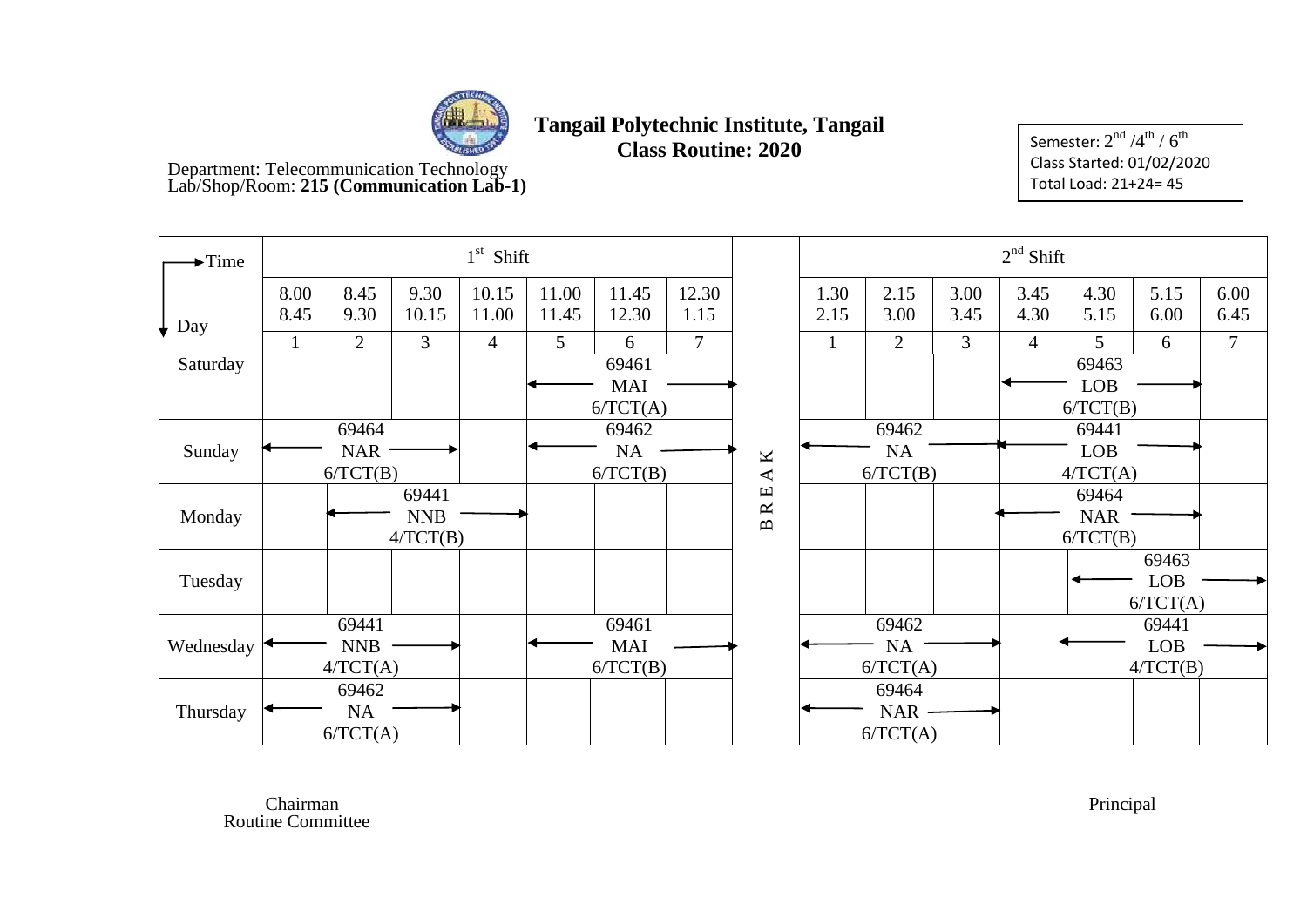

**Class Routine: 2020** 

Department: Telecommunication Technology Lab/Shop/Room: **215 (Communication Lab-1)**

Semester:  $2^{\rm nd}$  /4 $^{\rm th}$  /  $6^{\rm th}$ Class Started: 01/02/2020 Total Load: 21+24= 45

| $\blacktriangleright$ Time |              |                                 |                                 | $1st$ Shift    |                |                                 |                |                                        |              |                                 |              | $2nd$ Shift    |                                 |                                 |              |
|----------------------------|--------------|---------------------------------|---------------------------------|----------------|----------------|---------------------------------|----------------|----------------------------------------|--------------|---------------------------------|--------------|----------------|---------------------------------|---------------------------------|--------------|
| Day                        | 8.00<br>8.45 | 8.45<br>9.30                    | 9.30<br>10.15                   | 10.15<br>11.00 | 11.00<br>11.45 | 11.45<br>12.30                  | 12.30<br>1.15  |                                        | 1.30<br>2.15 | 2.15<br>3.00                    | 3.00<br>3.45 | 3.45<br>4.30   | 4.30<br>5.15                    | 5.15<br>6.00                    | 6.00<br>6.45 |
|                            |              | 2                               | $\overline{3}$                  | $\overline{4}$ | 5              | 6                               | $\overline{7}$ |                                        |              | $\overline{2}$                  | 3            | $\overline{4}$ | 5                               | 6                               | $\tau$       |
| Saturday                   |              |                                 |                                 |                |                | 69461<br><b>MAI</b>             |                |                                        |              |                                 |              |                | 69463<br><b>LOB</b><br>6/TCT(B) |                                 |              |
|                            |              | 69464                           |                                 |                |                | 6/TCT(A)<br>69462               |                |                                        |              | 69462                           |              |                |                                 |                                 |              |
| Sunday                     |              | <b>NAR</b><br>6/TCT(B)          |                                 |                |                | <b>NA</b><br>6/TCT(B)           |                | $\pmb{\times}$<br>$\blacktriangleleft$ |              | <b>NA</b><br>6/TCT(B)           |              |                | 69441<br><b>LOB</b><br>4/TCT(A) |                                 |              |
| Monday                     |              |                                 | 69441<br><b>NNB</b><br>4/TCT(B) |                |                |                                 |                | Щ<br>$\approx$<br>$\mathbf{m}$         |              |                                 |              |                | 69464<br><b>NAR</b><br>6/TCT(B) |                                 |              |
| Tuesday                    |              |                                 |                                 |                |                |                                 |                |                                        |              |                                 |              |                |                                 | 69463<br><b>LOB</b><br>6/TCT(A) |              |
| Wednesday                  |              | 69441<br><b>NNB</b><br>4/TCT(A) |                                 |                |                | 69461<br><b>MAI</b><br>6/TCT(B) |                |                                        |              | 69462<br>NA<br>6/TCT(A)         |              |                |                                 | 69441<br><b>LOB</b><br>4/TCT(B) |              |
| Thursday                   |              | 69462<br>NA<br>6/TCT(A)         |                                 |                |                |                                 |                |                                        |              | 69464<br><b>NAR</b><br>6/TCT(A) |              |                |                                 |                                 |              |